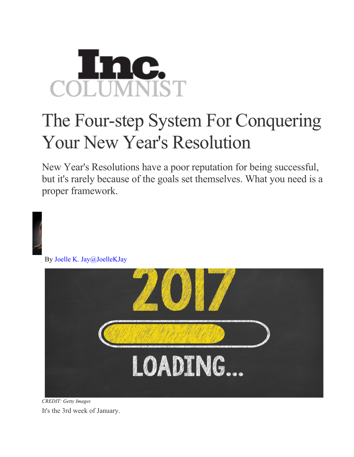## **AC.**<br>MNIST

## The Four-step System For Conquering Your New Year's Resolution

New Year's Resolutions have a poor reputation for being successful, but it's rarely because of the goals set themselves. What you need is a proper framework.



*CREDIT: Getty Images* It's the 3rd week of January.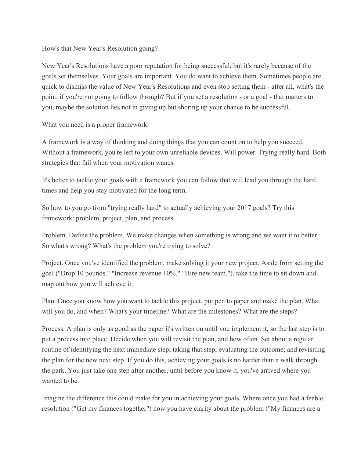How's that New Year's Resolution going?

New Year's Resolutions have a poor reputation for being successful, but it's rarely because of the goals set themselves. Your goals are important. You do want to achieve them. Sometimes people are quick to dismiss the value of New Year's Resolutions and even stop setting them - after all, what's the point, if you're not going to follow through? But if you set a resolution - or a goal - that matters to you, maybe the solution lies not in giving up but shoring up your chance to be successful.

What you need is a proper framework.

A framework is a way of thinking and doing things that you can count on to help you succeed. Without a framework, you're left to your own unreliable devices. Will power. Trying really hard. Both strategies that fail when your motivation wanes.

It's better to tackle your goals with a framework you can follow that will lead you through the hard times and help you stay motivated for the long term.

So how to you go from "trying really hard" to actually achieving your 2017 goals? Try this framework: problem, project, plan, and process.

Problem. Define the problem. We make changes when something is wrong and we want it to better. So what's wrong? What's the problem you're trying to solve?

Project. Once you've identified the problem, make solving it your new project. Aside from setting the goal ("Drop 10 pounds." "Increase revenue 10%." "Hire new team."), take the time to sit down and map out how you will achieve it.

Plan. Once you know how you want to tackle this project, put pen to paper and make the plan. What will you do, and when? What's your timeline? What are the milestones? What are the steps?

Process. A plan is only as good as the paper it's written on until you implement it, so the last step is to put a process into place. Decide when you will revisit the plan, and how often. Set about a regular routine of identifying the next immediate step; taking that step; evaluating the outcome; and revisiting the plan for the new next step. If you do this, achieving your goals is no harder than a walk through the park. You just take one step after another, until before you know it, you've arrived where you wanted to be.

Imagine the difference this could make for you in achieving your goals. Where once you had a feeble resolution ("Get my finances together") now you have clarity about the problem ("My finances are a